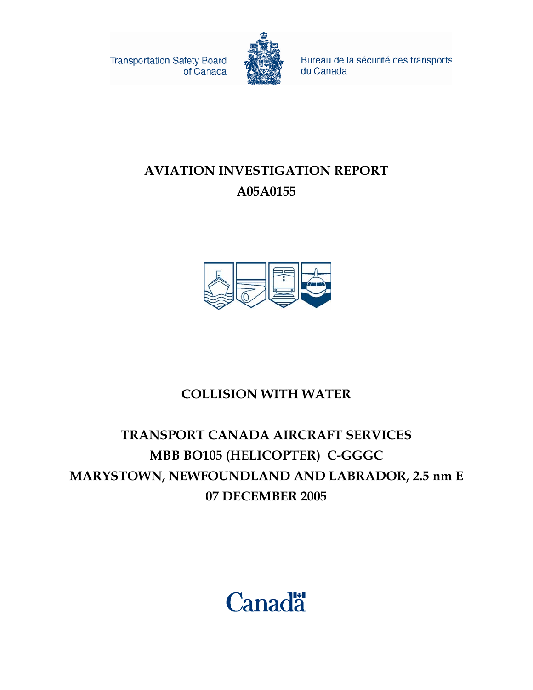**Transportation Safety Board** of Canada



Bureau de la sécurité des transports du Canada

# **AVIATION INVESTIGATION REPORT A05A0155**



# **COLLISION WITH WATER**

# **TRANSPORT CANADA AIRCRAFT SERVICES MBB BO105 (HELICOPTER) C-GGGC MARYSTOWN, NEWFOUNDLAND AND LABRADOR, 2.5 nm E 07 DECEMBER 2005**

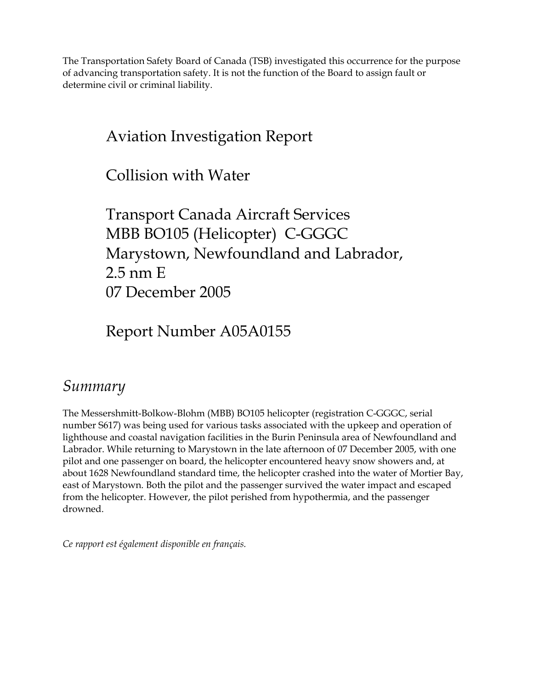The Transportation Safety Board of Canada (TSB) investigated this occurrence for the purpose of advancing transportation safety. It is not the function of the Board to assign fault or determine civil or criminal liability.

# Aviation Investigation Report

Collision with Water

Transport Canada Aircraft Services MBB BO105 (Helicopter) C-GGGC Marystown, Newfoundland and Labrador, 2.5 nm E 07 December 2005

Report Number A05A0155

# *Summary*

The Messershmitt-Bolkow-Blohm (MBB) BO105 helicopter (registration C-GGGC, serial number S617) was being used for various tasks associated with the upkeep and operation of lighthouse and coastal navigation facilities in the Burin Peninsula area of Newfoundland and Labrador. While returning to Marystown in the late afternoon of 07 December 2005, with one pilot and one passenger on board, the helicopter encountered heavy snow showers and, at about 1628 Newfoundland standard time, the helicopter crashed into the water of Mortier Bay, east of Marystown. Both the pilot and the passenger survived the water impact and escaped from the helicopter. However, the pilot perished from hypothermia, and the passenger drowned.

*Ce rapport est également disponible en français.*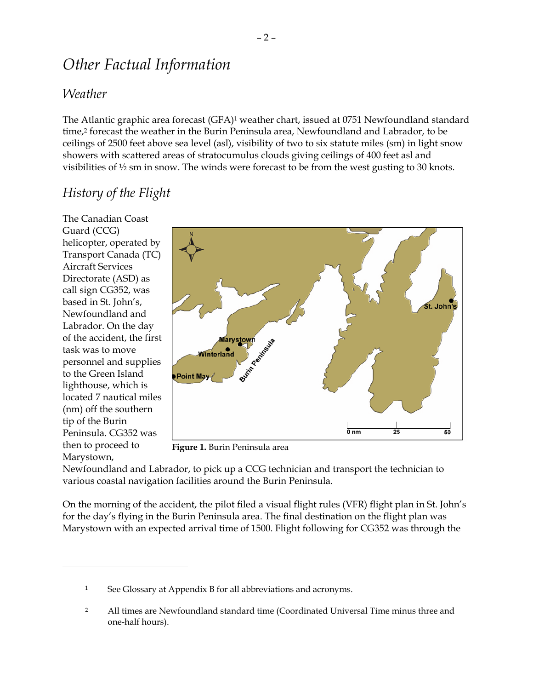# *Other Factual Information*

#### *Weather*

The Atlantic graphic area forecast (GFA)1 weather chart, issued at 0751 Newfoundland standard time,<sup>2</sup> forecast the weather in the Burin Peninsula area, Newfoundland and Labrador, to be ceilings of 2500 feet above sea level (asl), visibility of two to six statute miles (sm) in light snow showers with scattered areas of stratocumulus clouds giving ceilings of 400 feet asl and visibilities of ½ sm in snow. The winds were forecast to be from the west gusting to 30 knots.

## *History of the Flight*

The Canadian Coast Guard (CCG) helicopter, operated by Transport Canada (TC) Aircraft Services Directorate (ASD) as call sign CG352, was based in St. John's, Newfoundland and Labrador. On the day of the accident, the first task was to move personnel and supplies to the Green Island lighthouse, which is located 7 nautical miles (nm) off the southern tip of the Burin Peninsula. CG352 was then to proceed to Marystown,

 $\overline{a}$ 



**Figure 1.** Burin Peninsula area

Newfoundland and Labrador, to pick up a CCG technician and transport the technician to various coastal navigation facilities around the Burin Peninsula.

On the morning of the accident, the pilot filed a visual flight rules (VFR) flight plan in St. John's for the day's flying in the Burin Peninsula area. The final destination on the flight plan was Marystown with an expected arrival time of 1500. Flight following for CG352 was through the

<sup>1</sup> See Glossary at Appendix B for all abbreviations and acronyms.

<sup>&</sup>lt;sup>2</sup> All times are Newfoundland standard time (Coordinated Universal Time minus three and one-half hours).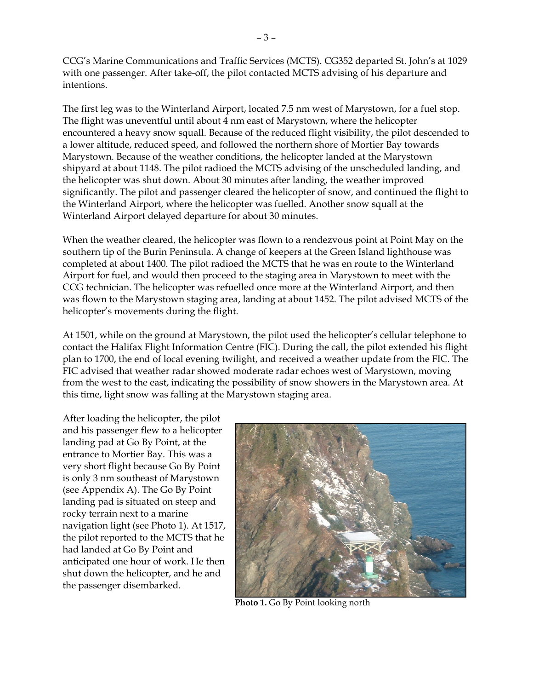CCG's Marine Communications and Traffic Services (MCTS). CG352 departed St. John's at 1029 with one passenger. After take-off, the pilot contacted MCTS advising of his departure and intentions.

The first leg was to the Winterland Airport, located 7.5 nm west of Marystown, for a fuel stop. The flight was uneventful until about 4 nm east of Marystown, where the helicopter encountered a heavy snow squall. Because of the reduced flight visibility, the pilot descended to a lower altitude, reduced speed, and followed the northern shore of Mortier Bay towards Marystown. Because of the weather conditions, the helicopter landed at the Marystown shipyard at about 1148. The pilot radioed the MCTS advising of the unscheduled landing, and the helicopter was shut down. About 30 minutes after landing, the weather improved significantly. The pilot and passenger cleared the helicopter of snow, and continued the flight to the Winterland Airport, where the helicopter was fuelled. Another snow squall at the Winterland Airport delayed departure for about 30 minutes.

When the weather cleared, the helicopter was flown to a rendezvous point at Point May on the southern tip of the Burin Peninsula. A change of keepers at the Green Island lighthouse was completed at about 1400. The pilot radioed the MCTS that he was en route to the Winterland Airport for fuel, and would then proceed to the staging area in Marystown to meet with the CCG technician. The helicopter was refuelled once more at the Winterland Airport, and then was flown to the Marystown staging area, landing at about 1452. The pilot advised MCTS of the helicopter's movements during the flight.

At 1501, while on the ground at Marystown, the pilot used the helicopter's cellular telephone to contact the Halifax Flight Information Centre (FIC). During the call, the pilot extended his flight plan to 1700, the end of local evening twilight, and received a weather update from the FIC. The FIC advised that weather radar showed moderate radar echoes west of Marystown, moving from the west to the east, indicating the possibility of snow showers in the Marystown area. At this time, light snow was falling at the Marystown staging area.

After loading the helicopter, the pilot and his passenger flew to a helicopter landing pad at Go By Point, at the entrance to Mortier Bay. This was a very short flight because Go By Point is only 3 nm southeast of Marystown (see Appendix A). The Go By Point landing pad is situated on steep and rocky terrain next to a marine navigation light (see Photo 1). At 1517, the pilot reported to the MCTS that he had landed at Go By Point and anticipated one hour of work. He then shut down the helicopter, and he and the passenger disembarked.



**Photo 1.** Go By Point looking north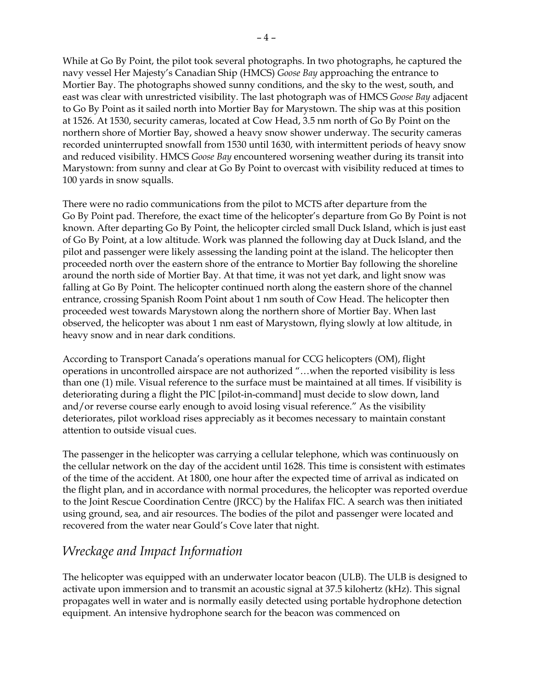While at Go By Point, the pilot took several photographs. In two photographs, he captured the navy vessel Her Majesty's Canadian Ship (HMCS) *Goose Bay* approaching the entrance to Mortier Bay. The photographs showed sunny conditions, and the sky to the west, south, and east was clear with unrestricted visibility. The last photograph was of HMCS *Goose Bay* adjacent to Go By Point as it sailed north into Mortier Bay for Marystown. The ship was at this position at 1526. At 1530, security cameras, located at Cow Head, 3.5 nm north of Go By Point on the northern shore of Mortier Bay, showed a heavy snow shower underway. The security cameras recorded uninterrupted snowfall from 1530 until 1630, with intermittent periods of heavy snow and reduced visibility. HMCS *Goose Bay* encountered worsening weather during its transit into Marystown: from sunny and clear at Go By Point to overcast with visibility reduced at times to 100 yards in snow squalls.

There were no radio communications from the pilot to MCTS after departure from the Go By Point pad. Therefore, the exact time of the helicopter's departure from Go By Point is not known. After departing Go By Point, the helicopter circled small Duck Island, which is just east of Go By Point, at a low altitude. Work was planned the following day at Duck Island, and the pilot and passenger were likely assessing the landing point at the island. The helicopter then proceeded north over the eastern shore of the entrance to Mortier Bay following the shoreline around the north side of Mortier Bay. At that time, it was not yet dark, and light snow was falling at Go By Point. The helicopter continued north along the eastern shore of the channel entrance, crossing Spanish Room Point about 1 nm south of Cow Head. The helicopter then proceeded west towards Marystown along the northern shore of Mortier Bay. When last observed, the helicopter was about 1 nm east of Marystown, flying slowly at low altitude, in heavy snow and in near dark conditions.

According to Transport Canada's operations manual for CCG helicopters (OM), flight operations in uncontrolled airspace are not authorized "…when the reported visibility is less than one (1) mile. Visual reference to the surface must be maintained at all times. If visibility is deteriorating during a flight the PIC [pilot-in-command] must decide to slow down, land and/or reverse course early enough to avoid losing visual reference." As the visibility deteriorates, pilot workload rises appreciably as it becomes necessary to maintain constant attention to outside visual cues.

The passenger in the helicopter was carrying a cellular telephone, which was continuously on the cellular network on the day of the accident until 1628. This time is consistent with estimates of the time of the accident. At 1800, one hour after the expected time of arrival as indicated on the flight plan, and in accordance with normal procedures, the helicopter was reported overdue to the Joint Rescue Coordination Centre (JRCC) by the Halifax FIC. A search was then initiated using ground, sea, and air resources. The bodies of the pilot and passenger were located and recovered from the water near Gould's Cove later that night.

#### *Wreckage and Impact Information*

The helicopter was equipped with an underwater locator beacon (ULB). The ULB is designed to activate upon immersion and to transmit an acoustic signal at 37.5 kilohertz (kHz). This signal propagates well in water and is normally easily detected using portable hydrophone detection equipment. An intensive hydrophone search for the beacon was commenced on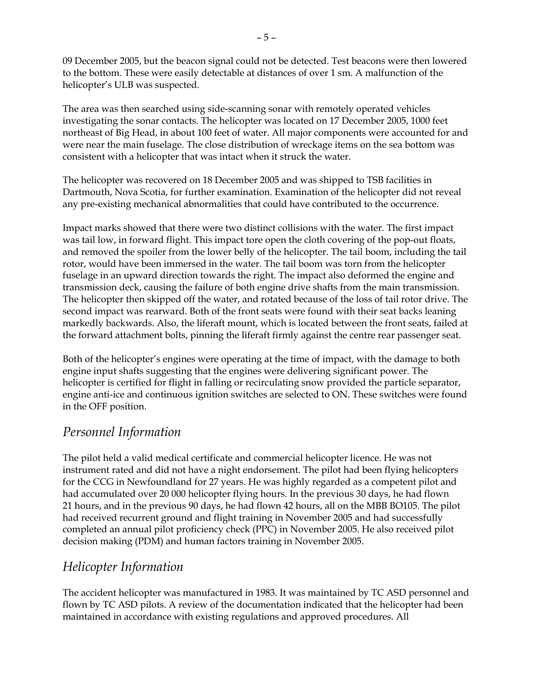09 December 2005, but the beacon signal could not be detected. Test beacons were then lowered to the bottom. These were easily detectable at distances of over 1 sm. A malfunction of the helicopter's ULB was suspected.

The area was then searched using side-scanning sonar with remotely operated vehicles investigating the sonar contacts. The helicopter was located on 17 December 2005, 1000 feet northeast of Big Head, in about 100 feet of water. All major components were accounted for and were near the main fuselage. The close distribution of wreckage items on the sea bottom was consistent with a helicopter that was intact when it struck the water.

The helicopter was recovered on 18 December 2005 and was shipped to TSB facilities in Dartmouth, Nova Scotia, for further examination. Examination of the helicopter did not reveal any pre-existing mechanical abnormalities that could have contributed to the occurrence.

Impact marks showed that there were two distinct collisions with the water. The first impact was tail low, in forward flight. This impact tore open the cloth covering of the pop-out floats, and removed the spoiler from the lower belly of the helicopter. The tail boom, including the tail rotor, would have been immersed in the water. The tail boom was torn from the helicopter fuselage in an upward direction towards the right. The impact also deformed the engine and transmission deck, causing the failure of both engine drive shafts from the main transmission. The helicopter then skipped off the water, and rotated because of the loss of tail rotor drive. The second impact was rearward. Both of the front seats were found with their seat backs leaning markedly backwards. Also, the liferaft mount, which is located between the front seats, failed at the forward attachment bolts, pinning the liferaft firmly against the centre rear passenger seat.

Both of the helicopter's engines were operating at the time of impact, with the damage to both engine input shafts suggesting that the engines were delivering significant power. The helicopter is certified for flight in falling or recirculating snow provided the particle separator, engine anti-ice and continuous ignition switches are selected to ON. These switches were found in the OFF position.

### *Personnel Information*

The pilot held a valid medical certificate and commercial helicopter licence. He was not instrument rated and did not have a night endorsement. The pilot had been flying helicopters for the CCG in Newfoundland for 27 years. He was highly regarded as a competent pilot and had accumulated over 20 000 helicopter flying hours. In the previous 30 days, he had flown 21 hours, and in the previous 90 days, he had flown 42 hours, all on the MBB BO105. The pilot had received recurrent ground and flight training in November 2005 and had successfully completed an annual pilot proficiency check (PPC) in November 2005. He also received pilot decision making (PDM) and human factors training in November 2005.

### *Helicopter Information*

The accident helicopter was manufactured in 1983. It was maintained by TC ASD personnel and flown by TC ASD pilots. A review of the documentation indicated that the helicopter had been maintained in accordance with existing regulations and approved procedures. All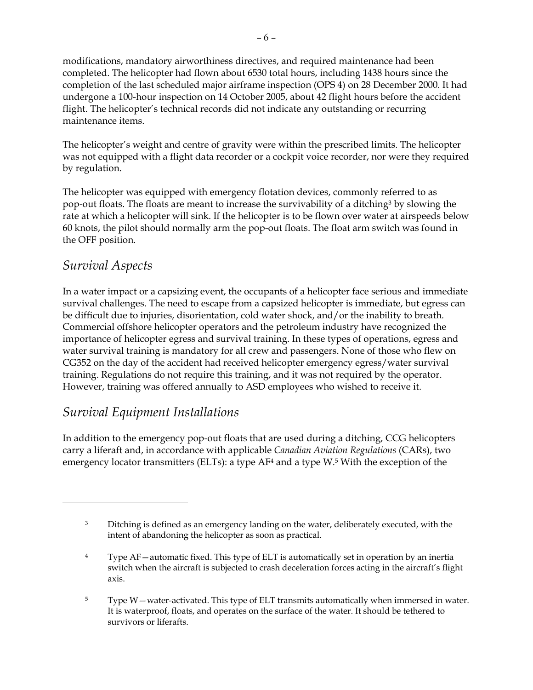modifications, mandatory airworthiness directives, and required maintenance had been completed. The helicopter had flown about 6530 total hours, including 1438 hours since the completion of the last scheduled major airframe inspection (OPS 4) on 28 December 2000. It had undergone a 100-hour inspection on 14 October 2005, about 42 flight hours before the accident flight. The helicopter's technical records did not indicate any outstanding or recurring maintenance items.

The helicopter's weight and centre of gravity were within the prescribed limits. The helicopter was not equipped with a flight data recorder or a cockpit voice recorder, nor were they required by regulation.

The helicopter was equipped with emergency flotation devices, commonly referred to as pop-out floats. The floats are meant to increase the survivability of a ditching3 by slowing the rate at which a helicopter will sink. If the helicopter is to be flown over water at airspeeds below 60 knots, the pilot should normally arm the pop-out floats. The float arm switch was found in the OFF position.

#### *Survival Aspects*

 $\overline{a}$ 

In a water impact or a capsizing event, the occupants of a helicopter face serious and immediate survival challenges. The need to escape from a capsized helicopter is immediate, but egress can be difficult due to injuries, disorientation, cold water shock, and/or the inability to breath. Commercial offshore helicopter operators and the petroleum industry have recognized the importance of helicopter egress and survival training. In these types of operations, egress and water survival training is mandatory for all crew and passengers. None of those who flew on CG352 on the day of the accident had received helicopter emergency egress/water survival training. Regulations do not require this training, and it was not required by the operator. However, training was offered annually to ASD employees who wished to receive it.

### *Survival Equipment Installations*

In addition to the emergency pop-out floats that are used during a ditching, CCG helicopters carry a liferaft and, in accordance with applicable *Canadian Aviation Regulations* (CARs), two emergency locator transmitters (ELTs): a type  $AF<sup>4</sup>$  and a type W.<sup>5</sup> With the exception of the

<sup>&</sup>lt;sup>3</sup> Ditching is defined as an emergency landing on the water, deliberately executed, with the intent of abandoning the helicopter as soon as practical.

<sup>4</sup> Type AF—automatic fixed. This type of ELT is automatically set in operation by an inertia switch when the aircraft is subjected to crash deceleration forces acting in the aircraft's flight axis.

<sup>5</sup> Type W—water-activated. This type of ELT transmits automatically when immersed in water. It is waterproof, floats, and operates on the surface of the water. It should be tethered to survivors or liferafts.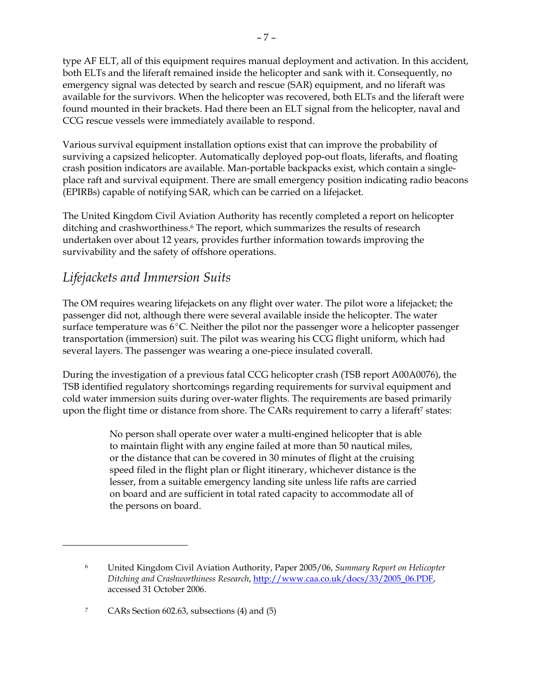type AF ELT, all of this equipment requires manual deployment and activation. In this accident, both ELTs and the liferaft remained inside the helicopter and sank with it. Consequently, no emergency signal was detected by search and rescue (SAR) equipment, and no liferaft was available for the survivors. When the helicopter was recovered, both ELTs and the liferaft were found mounted in their brackets. Had there been an ELT signal from the helicopter, naval and CCG rescue vessels were immediately available to respond.

Various survival equipment installation options exist that can improve the probability of surviving a capsized helicopter. Automatically deployed pop-out floats, liferafts, and floating crash position indicators are available. Man-portable backpacks exist, which contain a singleplace raft and survival equipment. There are small emergency position indicating radio beacons (EPIRBs) capable of notifying SAR, which can be carried on a lifejacket.

The United Kingdom Civil Aviation Authority has recently completed a report on helicopter ditching and crashworthiness.<sup>6</sup> The report, which summarizes the results of research undertaken over about 12 years, provides further information towards improving the survivability and the safety of offshore operations.

#### *Lifejackets and Immersion Suits*

The OM requires wearing lifejackets on any flight over water. The pilot wore a lifejacket; the passenger did not, although there were several available inside the helicopter. The water surface temperature was  $6^{\circ}$ C. Neither the pilot nor the passenger wore a helicopter passenger transportation (immersion) suit. The pilot was wearing his CCG flight uniform, which had several layers. The passenger was wearing a one-piece insulated coverall.

During the investigation of a previous fatal CCG helicopter crash (TSB report A00A0076), the TSB identified regulatory shortcomings regarding requirements for survival equipment and cold water immersion suits during over-water flights. The requirements are based primarily upon the flight time or distance from shore. The CARs requirement to carry a liferaft<sup>7</sup> states:

> No person shall operate over water a multi-engined helicopter that is able to maintain flight with any engine failed at more than 50 nautical miles, or the distance that can be covered in 30 minutes of flight at the cruising speed filed in the flight plan or flight itinerary, whichever distance is the lesser, from a suitable emergency landing site unless life rafts are carried on board and are sufficient in total rated capacity to accommodate all of the persons on board.

 $\overline{a}$ 

<sup>6</sup> United Kingdom Civil Aviation Authority, Paper 2005/06, *Summary Report on Helicopter Ditching and Crashworthiness Research*, http://www.caa.co.uk/docs/33/2005\_06.PDF, accessed 31 October 2006.

<sup>7</sup> CARs Section 602.63, subsections (4) and (5)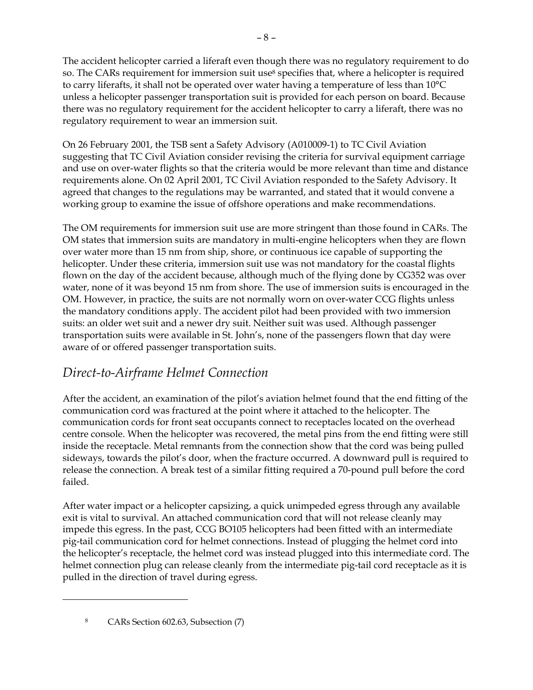The accident helicopter carried a liferaft even though there was no regulatory requirement to do so. The CARs requirement for immersion suit use<sup>8</sup> specifies that, where a helicopter is required to carry liferafts, it shall not be operated over water having a temperature of less than 10°C unless a helicopter passenger transportation suit is provided for each person on board. Because there was no regulatory requirement for the accident helicopter to carry a liferaft, there was no regulatory requirement to wear an immersion suit.

On 26 February 2001, the TSB sent a Safety Advisory (A010009-1) to TC Civil Aviation suggesting that TC Civil Aviation consider revising the criteria for survival equipment carriage and use on over-water flights so that the criteria would be more relevant than time and distance requirements alone. On 02 April 2001, TC Civil Aviation responded to the Safety Advisory. It agreed that changes to the regulations may be warranted, and stated that it would convene a working group to examine the issue of offshore operations and make recommendations.

The OM requirements for immersion suit use are more stringent than those found in CARs. The OM states that immersion suits are mandatory in multi-engine helicopters when they are flown over water more than 15 nm from ship, shore, or continuous ice capable of supporting the helicopter. Under these criteria, immersion suit use was not mandatory for the coastal flights flown on the day of the accident because, although much of the flying done by CG352 was over water, none of it was beyond 15 nm from shore. The use of immersion suits is encouraged in the OM. However, in practice, the suits are not normally worn on over-water CCG flights unless the mandatory conditions apply. The accident pilot had been provided with two immersion suits: an older wet suit and a newer dry suit. Neither suit was used. Although passenger transportation suits were available in St. John's, none of the passengers flown that day were aware of or offered passenger transportation suits.

### *Direct-to-Airframe Helmet Connection*

After the accident, an examination of the pilot's aviation helmet found that the end fitting of the communication cord was fractured at the point where it attached to the helicopter. The communication cords for front seat occupants connect to receptacles located on the overhead centre console. When the helicopter was recovered, the metal pins from the end fitting were still inside the receptacle. Metal remnants from the connection show that the cord was being pulled sideways, towards the pilot's door, when the fracture occurred. A downward pull is required to release the connection. A break test of a similar fitting required a 70-pound pull before the cord failed.

After water impact or a helicopter capsizing, a quick unimpeded egress through any available exit is vital to survival. An attached communication cord that will not release cleanly may impede this egress. In the past, CCG BO105 helicopters had been fitted with an intermediate pig-tail communication cord for helmet connections. Instead of plugging the helmet cord into the helicopter's receptacle, the helmet cord was instead plugged into this intermediate cord. The helmet connection plug can release cleanly from the intermediate pig-tail cord receptacle as it is pulled in the direction of travel during egress.

<u>.</u>

<sup>8</sup> CARs Section 602.63, Subsection (7)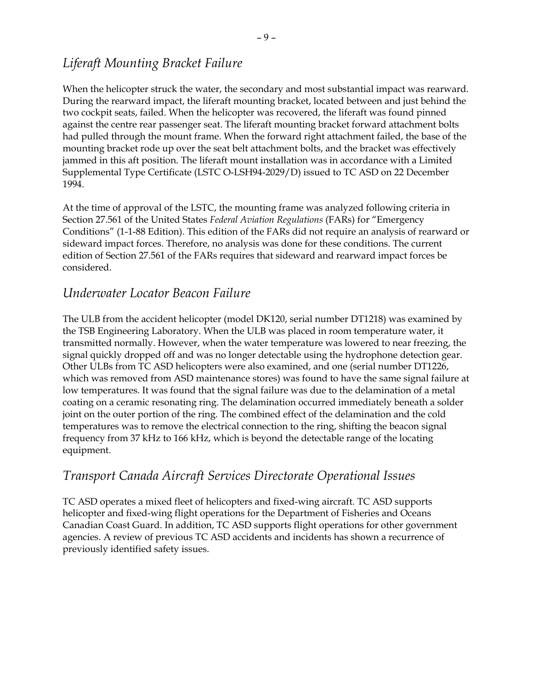### *Liferaft Mounting Bracket Failure*

When the helicopter struck the water, the secondary and most substantial impact was rearward. During the rearward impact, the liferaft mounting bracket, located between and just behind the two cockpit seats, failed. When the helicopter was recovered, the liferaft was found pinned against the centre rear passenger seat. The liferaft mounting bracket forward attachment bolts had pulled through the mount frame. When the forward right attachment failed, the base of the mounting bracket rode up over the seat belt attachment bolts, and the bracket was effectively jammed in this aft position. The liferaft mount installation was in accordance with a Limited Supplemental Type Certificate (LSTC O-LSH94-2029/D) issued to TC ASD on 22 December 1994.

At the time of approval of the LSTC, the mounting frame was analyzed following criteria in Section 27.561 of the United States *Federal Aviation Regulations* (FARs) for "Emergency Conditions" (1-1-88 Edition). This edition of the FARs did not require an analysis of rearward or sideward impact forces. Therefore, no analysis was done for these conditions. The current edition of Section 27.561 of the FARs requires that sideward and rearward impact forces be considered.

#### *Underwater Locator Beacon Failure*

The ULB from the accident helicopter (model DK120, serial number DT1218) was examined by the TSB Engineering Laboratory. When the ULB was placed in room temperature water, it transmitted normally. However, when the water temperature was lowered to near freezing, the signal quickly dropped off and was no longer detectable using the hydrophone detection gear. Other ULBs from TC ASD helicopters were also examined, and one (serial number DT1226, which was removed from ASD maintenance stores) was found to have the same signal failure at low temperatures. It was found that the signal failure was due to the delamination of a metal coating on a ceramic resonating ring. The delamination occurred immediately beneath a solder joint on the outer portion of the ring. The combined effect of the delamination and the cold temperatures was to remove the electrical connection to the ring, shifting the beacon signal frequency from 37 kHz to 166 kHz, which is beyond the detectable range of the locating equipment.

#### *Transport Canada Aircraft Services Directorate Operational Issues*

TC ASD operates a mixed fleet of helicopters and fixed-wing aircraft. TC ASD supports helicopter and fixed-wing flight operations for the Department of Fisheries and Oceans Canadian Coast Guard. In addition, TC ASD supports flight operations for other government agencies. A review of previous TC ASD accidents and incidents has shown a recurrence of previously identified safety issues.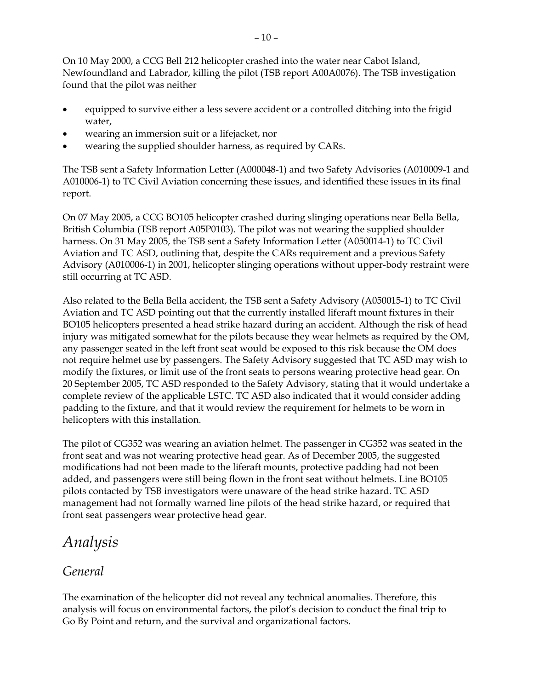On 10 May 2000, a CCG Bell 212 helicopter crashed into the water near Cabot Island, Newfoundland and Labrador, killing the pilot (TSB report A00A0076). The TSB investigation found that the pilot was neither

- equipped to survive either a less severe accident or a controlled ditching into the frigid water,
- wearing an immersion suit or a lifejacket, nor
- wearing the supplied shoulder harness, as required by CARs.

The TSB sent a Safety Information Letter (A000048-1) and two Safety Advisories (A010009-1 and A010006-1) to TC Civil Aviation concerning these issues, and identified these issues in its final report.

On 07 May 2005, a CCG BO105 helicopter crashed during slinging operations near Bella Bella, British Columbia (TSB report A05P0103). The pilot was not wearing the supplied shoulder harness. On 31 May 2005, the TSB sent a Safety Information Letter (A050014-1) to TC Civil Aviation and TC ASD, outlining that, despite the CARs requirement and a previous Safety Advisory (A010006-1) in 2001, helicopter slinging operations without upper-body restraint were still occurring at TC ASD.

Also related to the Bella Bella accident, the TSB sent a Safety Advisory (A050015-1) to TC Civil Aviation and TC ASD pointing out that the currently installed liferaft mount fixtures in their BO105 helicopters presented a head strike hazard during an accident. Although the risk of head injury was mitigated somewhat for the pilots because they wear helmets as required by the OM, any passenger seated in the left front seat would be exposed to this risk because the OM does not require helmet use by passengers. The Safety Advisory suggested that TC ASD may wish to modify the fixtures, or limit use of the front seats to persons wearing protective head gear. On 20 September 2005, TC ASD responded to the Safety Advisory, stating that it would undertake a complete review of the applicable LSTC. TC ASD also indicated that it would consider adding padding to the fixture, and that it would review the requirement for helmets to be worn in helicopters with this installation.

The pilot of CG352 was wearing an aviation helmet. The passenger in CG352 was seated in the front seat and was not wearing protective head gear. As of December 2005, the suggested modifications had not been made to the liferaft mounts, protective padding had not been added, and passengers were still being flown in the front seat without helmets. Line BO105 pilots contacted by TSB investigators were unaware of the head strike hazard. TC ASD management had not formally warned line pilots of the head strike hazard, or required that front seat passengers wear protective head gear.

# *Analysis*

### *General*

The examination of the helicopter did not reveal any technical anomalies. Therefore, this analysis will focus on environmental factors, the pilot's decision to conduct the final trip to Go By Point and return, and the survival and organizational factors.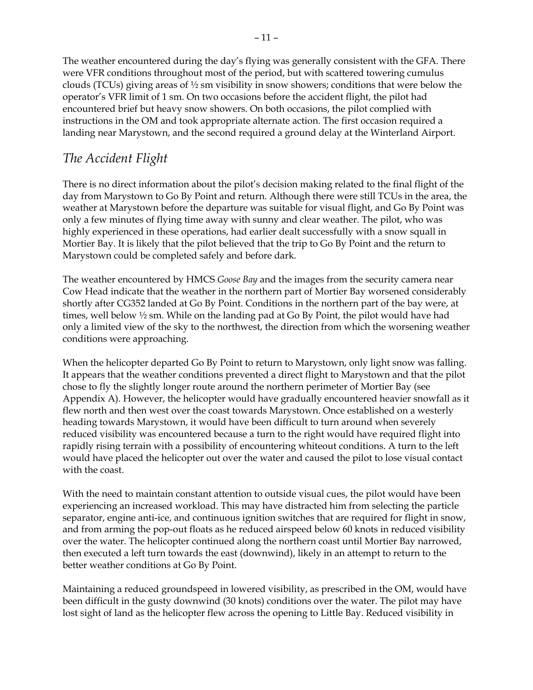The weather encountered during the day's flying was generally consistent with the GFA. There were VFR conditions throughout most of the period, but with scattered towering cumulus clouds (TCUs) giving areas of ½ sm visibility in snow showers; conditions that were below the operator's VFR limit of 1 sm. On two occasions before the accident flight, the pilot had encountered brief but heavy snow showers. On both occasions, the pilot complied with instructions in the OM and took appropriate alternate action. The first occasion required a landing near Marystown, and the second required a ground delay at the Winterland Airport.

#### *The Accident Flight*

There is no direct information about the pilot's decision making related to the final flight of the day from Marystown to Go By Point and return. Although there were still TCUs in the area, the weather at Marystown before the departure was suitable for visual flight, and Go By Point was only a few minutes of flying time away with sunny and clear weather. The pilot, who was highly experienced in these operations, had earlier dealt successfully with a snow squall in Mortier Bay. It is likely that the pilot believed that the trip to Go By Point and the return to Marystown could be completed safely and before dark.

The weather encountered by HMCS *Goose Bay* and the images from the security camera near Cow Head indicate that the weather in the northern part of Mortier Bay worsened considerably shortly after CG352 landed at Go By Point. Conditions in the northern part of the bay were, at times, well below ½ sm. While on the landing pad at Go By Point, the pilot would have had only a limited view of the sky to the northwest, the direction from which the worsening weather conditions were approaching.

When the helicopter departed Go By Point to return to Marystown, only light snow was falling. It appears that the weather conditions prevented a direct flight to Marystown and that the pilot chose to fly the slightly longer route around the northern perimeter of Mortier Bay (see Appendix A). However, the helicopter would have gradually encountered heavier snowfall as it flew north and then west over the coast towards Marystown. Once established on a westerly heading towards Marystown, it would have been difficult to turn around when severely reduced visibility was encountered because a turn to the right would have required flight into rapidly rising terrain with a possibility of encountering whiteout conditions. A turn to the left would have placed the helicopter out over the water and caused the pilot to lose visual contact with the coast.

With the need to maintain constant attention to outside visual cues, the pilot would have been experiencing an increased workload. This may have distracted him from selecting the particle separator, engine anti-ice, and continuous ignition switches that are required for flight in snow, and from arming the pop-out floats as he reduced airspeed below 60 knots in reduced visibility over the water. The helicopter continued along the northern coast until Mortier Bay narrowed, then executed a left turn towards the east (downwind), likely in an attempt to return to the better weather conditions at Go By Point.

Maintaining a reduced groundspeed in lowered visibility, as prescribed in the OM, would have been difficult in the gusty downwind (30 knots) conditions over the water. The pilot may have lost sight of land as the helicopter flew across the opening to Little Bay. Reduced visibility in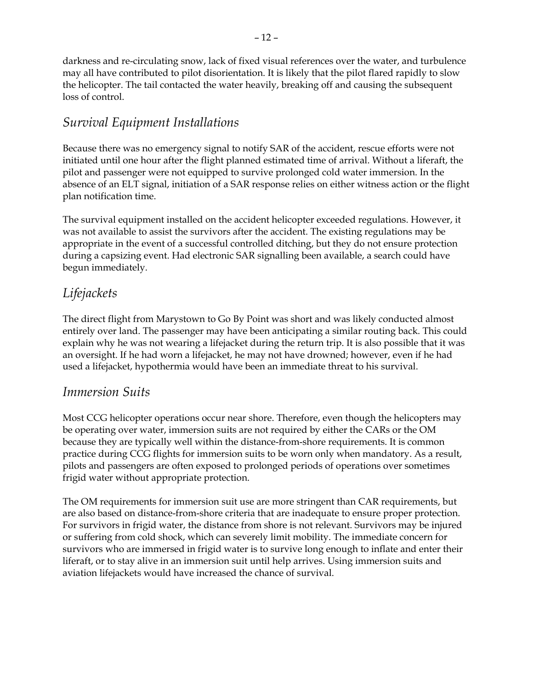darkness and re-circulating snow, lack of fixed visual references over the water, and turbulence may all have contributed to pilot disorientation. It is likely that the pilot flared rapidly to slow the helicopter. The tail contacted the water heavily, breaking off and causing the subsequent loss of control.

### *Survival Equipment Installations*

Because there was no emergency signal to notify SAR of the accident, rescue efforts were not initiated until one hour after the flight planned estimated time of arrival. Without a liferaft, the pilot and passenger were not equipped to survive prolonged cold water immersion. In the absence of an ELT signal, initiation of a SAR response relies on either witness action or the flight plan notification time.

The survival equipment installed on the accident helicopter exceeded regulations. However, it was not available to assist the survivors after the accident. The existing regulations may be appropriate in the event of a successful controlled ditching, but they do not ensure protection during a capsizing event. Had electronic SAR signalling been available, a search could have begun immediately.

### *Lifejackets*

The direct flight from Marystown to Go By Point was short and was likely conducted almost entirely over land. The passenger may have been anticipating a similar routing back. This could explain why he was not wearing a lifejacket during the return trip. It is also possible that it was an oversight. If he had worn a lifejacket, he may not have drowned; however, even if he had used a lifejacket, hypothermia would have been an immediate threat to his survival.

#### *Immersion Suits*

Most CCG helicopter operations occur near shore. Therefore, even though the helicopters may be operating over water, immersion suits are not required by either the CARs or the OM because they are typically well within the distance-from-shore requirements. It is common practice during CCG flights for immersion suits to be worn only when mandatory. As a result, pilots and passengers are often exposed to prolonged periods of operations over sometimes frigid water without appropriate protection.

The OM requirements for immersion suit use are more stringent than CAR requirements, but are also based on distance-from-shore criteria that are inadequate to ensure proper protection. For survivors in frigid water, the distance from shore is not relevant. Survivors may be injured or suffering from cold shock, which can severely limit mobility. The immediate concern for survivors who are immersed in frigid water is to survive long enough to inflate and enter their liferaft, or to stay alive in an immersion suit until help arrives. Using immersion suits and aviation lifejackets would have increased the chance of survival.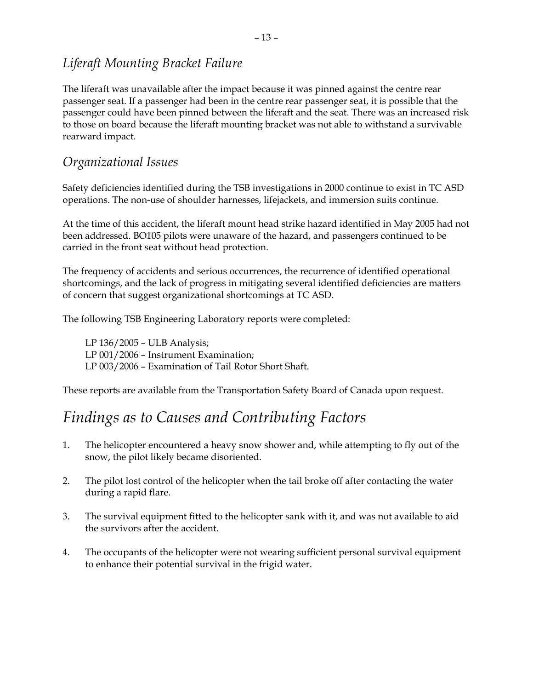### *Liferaft Mounting Bracket Failure*

The liferaft was unavailable after the impact because it was pinned against the centre rear passenger seat. If a passenger had been in the centre rear passenger seat, it is possible that the passenger could have been pinned between the liferaft and the seat. There was an increased risk to those on board because the liferaft mounting bracket was not able to withstand a survivable rearward impact.

#### *Organizational Issues*

Safety deficiencies identified during the TSB investigations in 2000 continue to exist in TC ASD operations. The non-use of shoulder harnesses, lifejackets, and immersion suits continue.

At the time of this accident, the liferaft mount head strike hazard identified in May 2005 had not been addressed. BO105 pilots were unaware of the hazard, and passengers continued to be carried in the front seat without head protection.

The frequency of accidents and serious occurrences, the recurrence of identified operational shortcomings, and the lack of progress in mitigating several identified deficiencies are matters of concern that suggest organizational shortcomings at TC ASD.

The following TSB Engineering Laboratory reports were completed:

LP 136/2005 – ULB Analysis; LP 001/2006 – Instrument Examination; LP 003/2006 – Examination of Tail Rotor Short Shaft.

These reports are available from the Transportation Safety Board of Canada upon request.

# *Findings as to Causes and Contributing Factors*

- 1. The helicopter encountered a heavy snow shower and, while attempting to fly out of the snow, the pilot likely became disoriented.
- 2. The pilot lost control of the helicopter when the tail broke off after contacting the water during a rapid flare.
- 3. The survival equipment fitted to the helicopter sank with it, and was not available to aid the survivors after the accident.
- 4. The occupants of the helicopter were not wearing sufficient personal survival equipment to enhance their potential survival in the frigid water.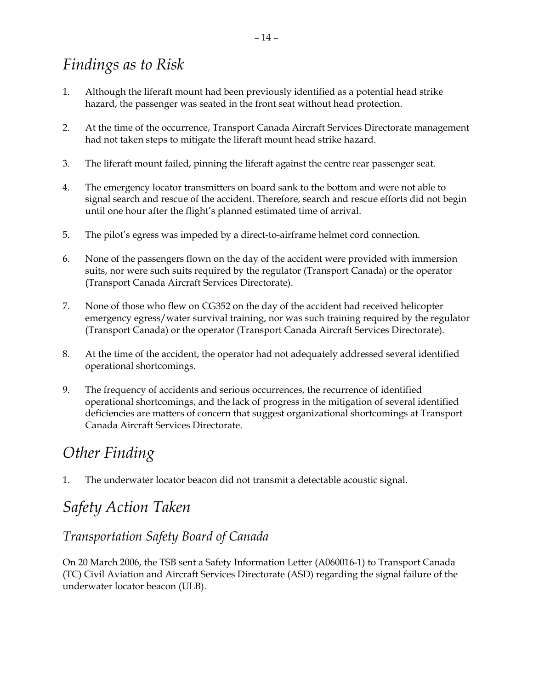# *Findings as to Risk*

- 1. Although the liferaft mount had been previously identified as a potential head strike hazard, the passenger was seated in the front seat without head protection.
- 2. At the time of the occurrence, Transport Canada Aircraft Services Directorate management had not taken steps to mitigate the liferaft mount head strike hazard.
- 3. The liferaft mount failed, pinning the liferaft against the centre rear passenger seat.
- 4. The emergency locator transmitters on board sank to the bottom and were not able to signal search and rescue of the accident. Therefore, search and rescue efforts did not begin until one hour after the flight's planned estimated time of arrival.
- 5. The pilot's egress was impeded by a direct-to-airframe helmet cord connection.
- 6. None of the passengers flown on the day of the accident were provided with immersion suits, nor were such suits required by the regulator (Transport Canada) or the operator (Transport Canada Aircraft Services Directorate).
- 7. None of those who flew on CG352 on the day of the accident had received helicopter emergency egress/water survival training, nor was such training required by the regulator (Transport Canada) or the operator (Transport Canada Aircraft Services Directorate).
- 8. At the time of the accident, the operator had not adequately addressed several identified operational shortcomings.
- 9. The frequency of accidents and serious occurrences, the recurrence of identified operational shortcomings, and the lack of progress in the mitigation of several identified deficiencies are matters of concern that suggest organizational shortcomings at Transport Canada Aircraft Services Directorate.

# *Other Finding*

1. The underwater locator beacon did not transmit a detectable acoustic signal.

# *Safety Action Taken*

### *Transportation Safety Board of Canada*

On 20 March 2006, the TSB sent a Safety Information Letter (A060016-1) to Transport Canada (TC) Civil Aviation and Aircraft Services Directorate (ASD) regarding the signal failure of the underwater locator beacon (ULB).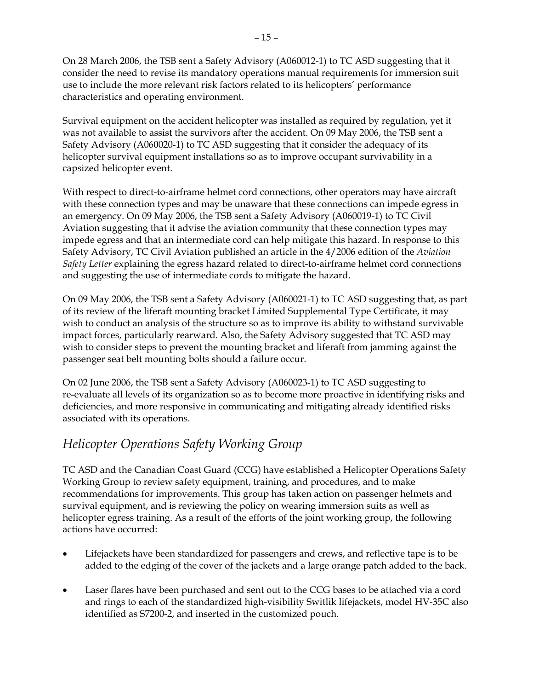On 28 March 2006, the TSB sent a Safety Advisory (A060012-1) to TC ASD suggesting that it consider the need to revise its mandatory operations manual requirements for immersion suit use to include the more relevant risk factors related to its helicopters' performance characteristics and operating environment.

Survival equipment on the accident helicopter was installed as required by regulation, yet it was not available to assist the survivors after the accident. On 09 May 2006, the TSB sent a Safety Advisory (A060020-1) to TC ASD suggesting that it consider the adequacy of its helicopter survival equipment installations so as to improve occupant survivability in a capsized helicopter event.

With respect to direct-to-airframe helmet cord connections, other operators may have aircraft with these connection types and may be unaware that these connections can impede egress in an emergency. On 09 May 2006, the TSB sent a Safety Advisory (A060019-1) to TC Civil Aviation suggesting that it advise the aviation community that these connection types may impede egress and that an intermediate cord can help mitigate this hazard. In response to this Safety Advisory, TC Civil Aviation published an article in the 4/2006 edition of the *Aviation Safety Letter* explaining the egress hazard related to direct-to-airframe helmet cord connections and suggesting the use of intermediate cords to mitigate the hazard.

On 09 May 2006, the TSB sent a Safety Advisory (A060021-1) to TC ASD suggesting that, as part of its review of the liferaft mounting bracket Limited Supplemental Type Certificate, it may wish to conduct an analysis of the structure so as to improve its ability to withstand survivable impact forces, particularly rearward. Also, the Safety Advisory suggested that TC ASD may wish to consider steps to prevent the mounting bracket and liferaft from jamming against the passenger seat belt mounting bolts should a failure occur.

On 02 June 2006, the TSB sent a Safety Advisory (A060023-1) to TC ASD suggesting to re-evaluate all levels of its organization so as to become more proactive in identifying risks and deficiencies, and more responsive in communicating and mitigating already identified risks associated with its operations.

### *Helicopter Operations Safety Working Group*

TC ASD and the Canadian Coast Guard (CCG) have established a Helicopter Operations Safety Working Group to review safety equipment, training, and procedures, and to make recommendations for improvements. This group has taken action on passenger helmets and survival equipment, and is reviewing the policy on wearing immersion suits as well as helicopter egress training. As a result of the efforts of the joint working group, the following actions have occurred:

- Lifejackets have been standardized for passengers and crews, and reflective tape is to be added to the edging of the cover of the jackets and a large orange patch added to the back.
- Laser flares have been purchased and sent out to the CCG bases to be attached via a cord and rings to each of the standardized high-visibility Switlik lifejackets, model HV-35C also identified as S7200-2, and inserted in the customized pouch.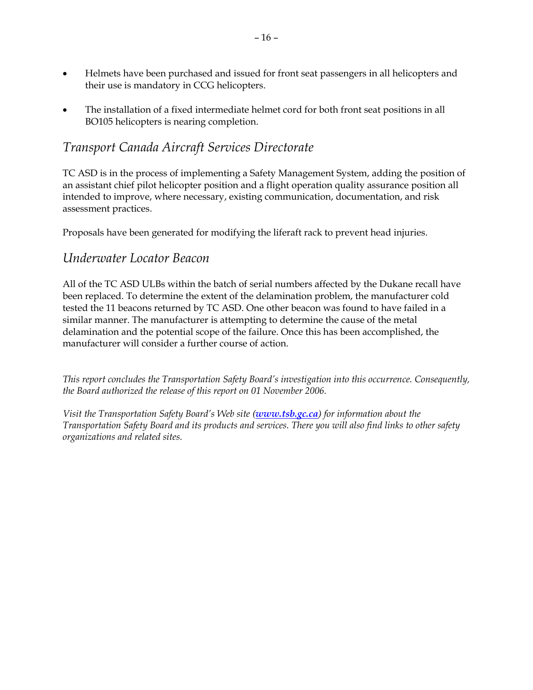- Helmets have been purchased and issued for front seat passengers in all helicopters and their use is mandatory in CCG helicopters.
- The installation of a fixed intermediate helmet cord for both front seat positions in all BO105 helicopters is nearing completion.

#### *Transport Canada Aircraft Services Directorate*

TC ASD is in the process of implementing a Safety Management System, adding the position of an assistant chief pilot helicopter position and a flight operation quality assurance position all intended to improve, where necessary, existing communication, documentation, and risk assessment practices.

Proposals have been generated for modifying the liferaft rack to prevent head injuries.

#### *Underwater Locator Beacon*

All of the TC ASD ULBs within the batch of serial numbers affected by the Dukane recall have been replaced. To determine the extent of the delamination problem, the manufacturer cold tested the 11 beacons returned by TC ASD. One other beacon was found to have failed in a similar manner. The manufacturer is attempting to determine the cause of the metal delamination and the potential scope of the failure. Once this has been accomplished, the manufacturer will consider a further course of action.

*This report concludes the Transportation Safety Board's investigation into this occurrence. Consequently, the Board authorized the release of this report on 01 November 2006.* 

*Visit the Transportation Safety Board's Web site (www.tsb.gc.ca) for information about the Transportation Safety Board and its products and services. There you will also find links to other safety organizations and related sites.*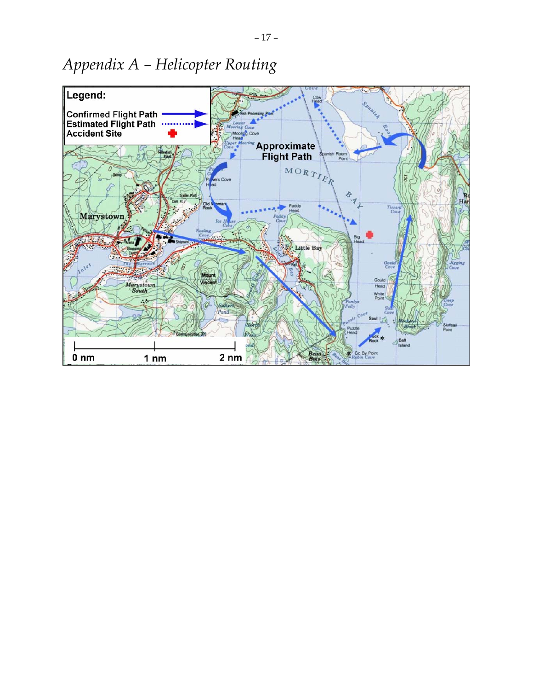# *Appendix A – Helicopter Routing*